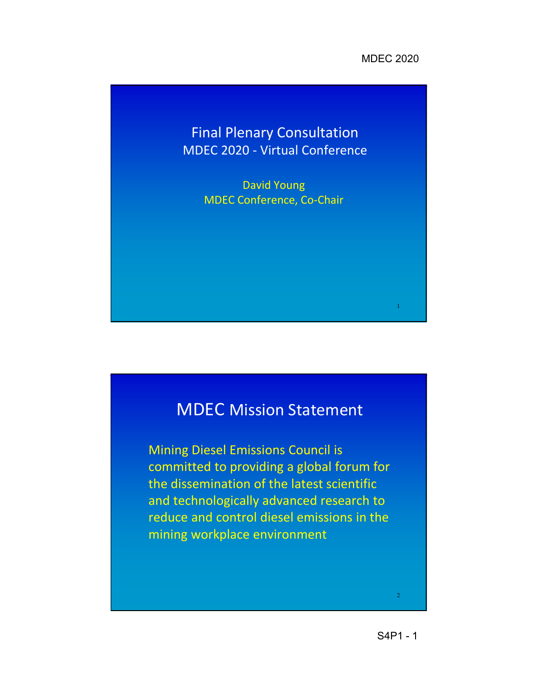1

## Final Plenary Consultation MDEC 2020 - Virtual Conference

David Young MDEC Conference, Co-Chair

# MDEC Mission Statement

Mining Diesel Emissions Council is committed to providing a global forum for the dissemination of the latest scientific and technologically advanced research to reduce and control diesel emissions in the mining workplace environment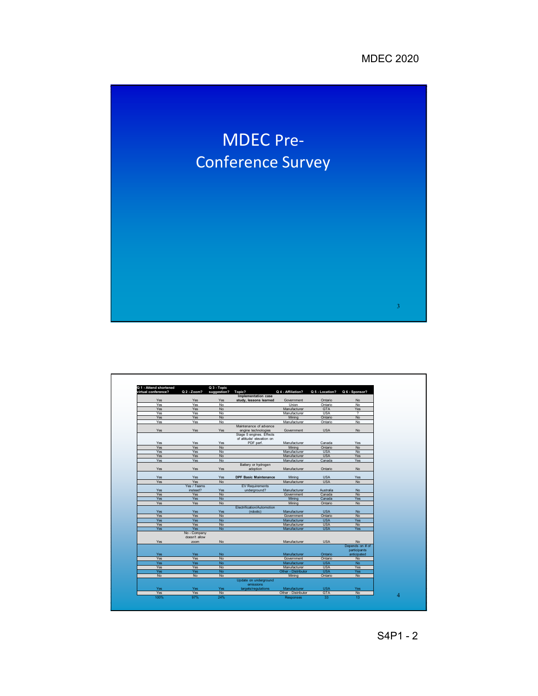

| Q 1 - Attend shortened |               | Q 3 - Topic |                              |                     |                 |                          |
|------------------------|---------------|-------------|------------------------------|---------------------|-----------------|--------------------------|
| virtual conference?    | Q 2 - Zoom?   | suggestion? | Topic?                       | Q 4 - Affiliation?  | Q 5 - Location? | Q 6 - Sponsor?           |
|                        |               |             | Implementation case          |                     |                 |                          |
| Yes                    | Yes           | Yes         | study, lessons learned       | Government          | Ontario         | <b>No</b>                |
| Yes                    | Yes           | No.         |                              | <b>Union</b>        | Ontario         | <b>No</b>                |
| Yes                    | Yes           | <b>No</b>   |                              | Manufacturer        | <b>GTA</b>      | Yes                      |
| Yes                    | Yes           | No.         |                              | Manufacturer        | <b>USA</b>      | $\overline{\phantom{a}}$ |
| Yes                    | Yes           | <b>No</b>   |                              | Mining              | Ontario         | <b>No</b>                |
| Yes                    | Yes           | No          |                              | Manufacturer        | Ontario         | <b>No</b>                |
|                        |               |             | Maintenance of advance       |                     |                 |                          |
| Yes                    | Yes           | Yes         | engine technologies          | Government          | <b>USA</b>      | <b>No</b>                |
|                        |               |             | Stage 5 engines. Effects     |                     |                 |                          |
|                        |               |             | of altitude/ elevation on    |                     |                 |                          |
| Yes                    | Yes           | Yes         | PDF perf.                    | Manufacturer        | Canada          | Yes                      |
| Yes                    | Yes           | <b>No</b>   |                              | Mining              | Ontario         | <b>No</b>                |
| Yes                    | Yes           | <b>No</b>   |                              | Manufacturer        | <b>USA</b>      | <b>No</b>                |
| Yes                    | Yes           | <b>No</b>   |                              | Manufacturer        | <b>USA</b>      | Yes                      |
| Yes                    | Yes           | <b>No</b>   |                              | Manufacturer        | Canada          | Yes                      |
|                        |               |             | Battery or hydrogen          |                     |                 |                          |
| Yes                    | Yes           | Yes         | adoption                     | Manufacturer        | Ontario         | <b>No</b>                |
|                        |               |             |                              |                     |                 |                          |
| Yes                    | Yes           | Yes         | <b>DPF Basic Maintenance</b> | Mining              | <b>USA</b>      | Yes                      |
| Yes                    | Yes           | <b>No</b>   |                              | Manufacturer        | <b>USA</b>      | <b>No</b>                |
|                        | Yes / Teams   |             | <b>EV Requirements</b>       |                     |                 |                          |
| Yes                    | instead?      | <b>Yes</b>  | underground?                 | Manufacturer        | Australia       | <b>No</b>                |
| Yes                    | Yes           | <b>No</b>   |                              | Government          | Canada          | <b>No</b>                |
| Yes                    | Yes           | <b>No</b>   |                              | Mining              | Canada          | Yes                      |
| Yes                    | Yes           | <b>No</b>   |                              | Mining              | Ontario         | <b>No</b>                |
|                        |               |             | Electrification/Automotion   |                     |                 |                          |
| Yes                    | Yes           | <b>Yes</b>  | (robotic)                    | Manufacturer        | <b>USA</b>      | <b>No</b>                |
| Yes                    | Yes           | <b>No</b>   |                              | Government          | Ontario         | <b>No</b>                |
| Yes                    | Yes           | <b>No</b>   |                              | Manufacturer        | <b>USA</b>      | Yes                      |
| Yes                    | Yes           | <b>No</b>   |                              | Manufacturer        | <b>USA</b>      | <b>No</b>                |
| Yes                    | Yes           | <b>No</b>   |                              | Manufacturer        | <b>USA</b>      | Yes                      |
|                        | No - Company  |             |                              |                     |                 |                          |
|                        | doesn't allow |             |                              |                     |                 |                          |
| Yes                    | zoom          | No          |                              | Manufacturer        | <b>USA</b>      | <b>No</b>                |
|                        |               |             |                              |                     |                 | Depends on # of          |
|                        |               |             |                              |                     |                 | participants             |
| Yes                    | <b>Yes</b>    | <b>No</b>   |                              | Manufacturer        | Ontario         | anticipated              |
| Yes                    | Yes           | <b>No</b>   |                              | Government          | Ontario         | <b>No</b>                |
| Yes                    | <b>Yes</b>    | <b>No</b>   |                              | Manufacturer        | <b>USA</b>      | <b>No</b>                |
| Yes                    | Yes           | No          |                              | Manufacturer        | <b>USA</b>      | Yes                      |
| <b>Yes</b>             | <b>Yes</b>    | <b>No</b>   |                              | Other - Distributor | <b>USA</b>      | <b>Yes</b>               |
| No                     | <b>No</b>     | No          |                              | Mining              | Ontario         | <b>No</b>                |
|                        |               |             | Update on underground        |                     |                 |                          |
|                        |               |             | emissions                    |                     |                 |                          |
| Yes                    | <b>Yes</b>    | Yes         | targets/regulations          | Manufacturer        | <b>USA</b>      | Yes                      |
| Yes                    | Yes           | No          |                              | Other - Distributor | <b>GTA</b>      | No                       |
| 100%                   | 97%           | 24%         |                              | <b>Responses</b>    | 33              | 13                       |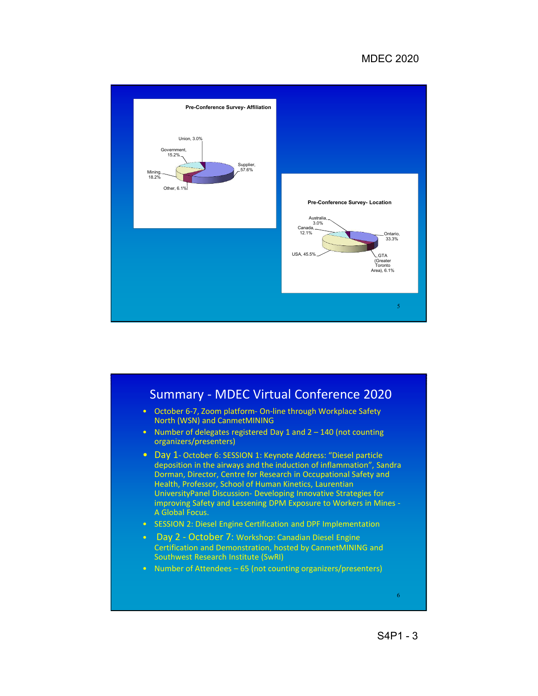#### MDEC 2020



### Summary - MDEC Virtual Conference 2020 • October 6-7, Zoom platform- On-line through Workplace Safety North (WSN) and CanmetMINING • Number of delegates registered Day 1 and 2 – 140 (not counting organizers/presenters) • Day 1- October 6: SESSION 1: Keynote Address: "Diesel particle deposition in the airways and the induction of inflammation", Sandra Dorman, Director, Centre for Research in Occupational Safety and Health, Professor, School of Human Kinetics, Laurentian UniversityPanel Discussion- Developing Innovative Strategies for improving Safety and Lessening DPM Exposure to Workers in Mines - A Global Focus. • SESSION 2: Diesel Engine Certification and DPF Implementation • Day 2 - October 7: Workshop: Canadian Diesel Engine Certification and Demonstration, hosted by CanmetMINING and Southwest Research Institute (SwRI) • Number of Attendees – 65 (not counting organizers/presenters) 6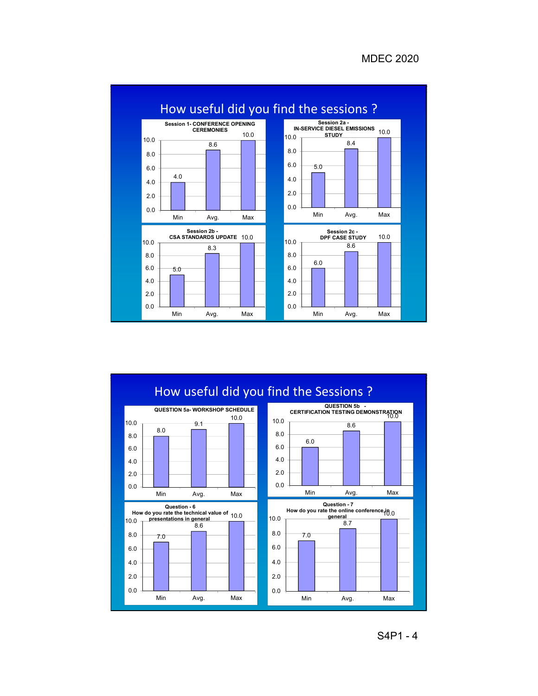

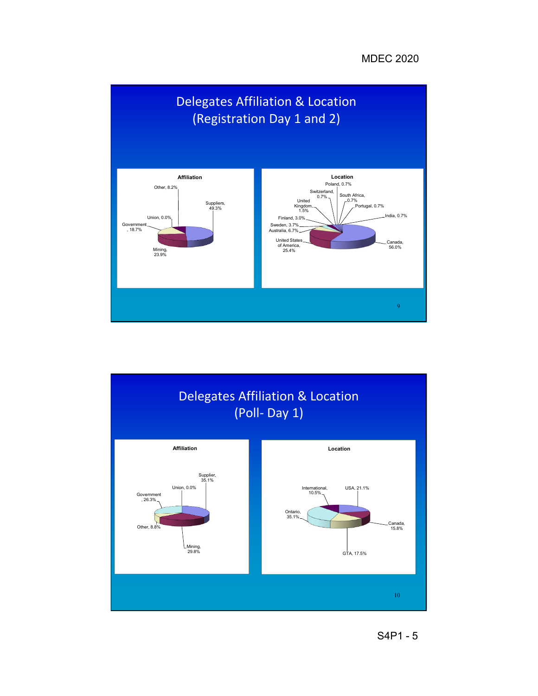

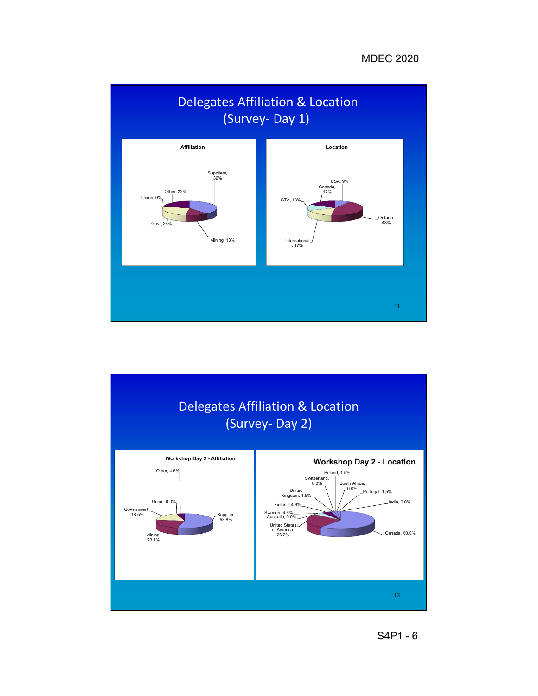

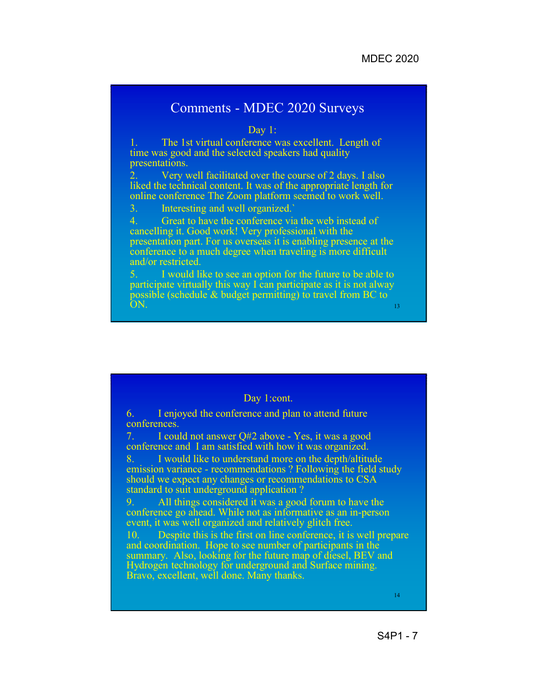### Comments - MDEC 2020 Surveys

Day 1:

1. The 1st virtual conference was excellent. Length of time was good and the selected speakers had quality presentations.

2. Very well facilitated over the course of 2 days. I also liked the technical content. It was of the appropriate length for online conference The Zoom platform seemed to work well.

3. Interesting and well organized.`

4. Great to have the conference via the web instead of cancelling it. Good work! Very professional with the presentation part. For us overseas it is enabling presence at the conference to a much degree when traveling is more difficult and/or restricted.

I would like to see an option for the future to be able to participate virtually this way I can participate as it is not alway possible (schedule & budget permitting) to travel from BC to  $ON.$  13

#### Day 1:cont.

6. I enjoyed the conference and plan to attend future conferences.

7. I could not answer Q#2 above - Yes, it was a good conference and I am satisfied with how it was organized.

8. I would like to understand more on the depth/altitude emission variance - recommendations ? Following the field study should we expect any changes or recommendations to CSA standard to suit underground application ?

9. All things considered it was a good forum to have the conference go ahead. While not as informative as an in-person event, it was well organized and relatively glitch free.

10. Despite this is the first on line conference, it is well prepare and coordination. Hope to see number of participants in the summary. Also, looking for the future map of diesel, BEV and Hydrogen technology for underground and Surface mining. Bravo, excellent, well done. Many thanks.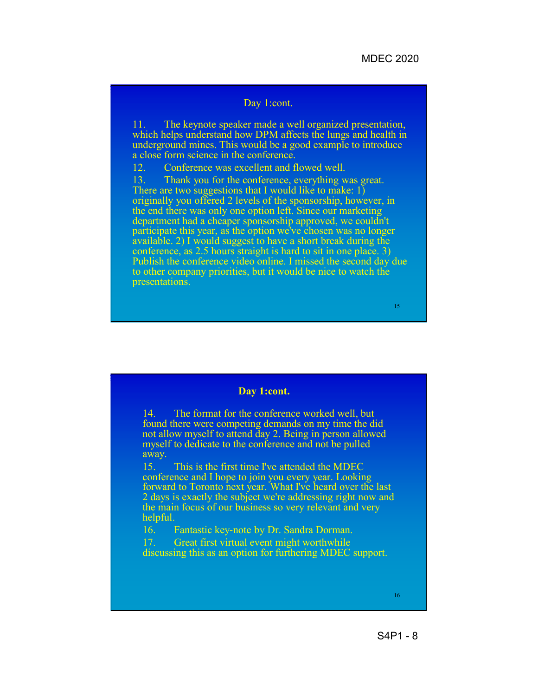#### Day 1:cont.

11. The keynote speaker made a well organized presentation, which helps understand how DPM affects the lungs and health in underground mines. This would be a good example to introduce a close form science in the conference.

12. Conference was excellent and flowed well.

13. Thank you for the conference, everything was great. There are two suggestions that I would like to make: 1) originally you offered 2 levels of the sponsorship, however, in the end there was only one option left. Since our marketing department had a cheaper sponsorship approved, we couldn't participate this year, as the option we've chosen was no longer available. 2) I would suggest to have a short break during the conference, as 2.5 hours straight is hard to sit in one place. 3) Publish the conference video online. I missed the second day due to other company priorities, but it would be nice to watch the presentations.

15

#### **Day 1:cont.**

14. The format for the conference worked well, but found there were competing demands on my time the did not allow myself to attend day 2. Being in person allowed myself to dedicate to the conference and not be pulled away.

15. This is the first time I've attended the MDEC conference and I hope to join you every year. Looking forward to Toronto next year. What I've heard over the last 2 days is exactly the subject we're addressing right now and the main focus of our business so very relevant and very helpful.

16. Fantastic key-note by Dr. Sandra Dorman.

17. Great first virtual event might worthwhile discussing this as an option for furthering MDEC support.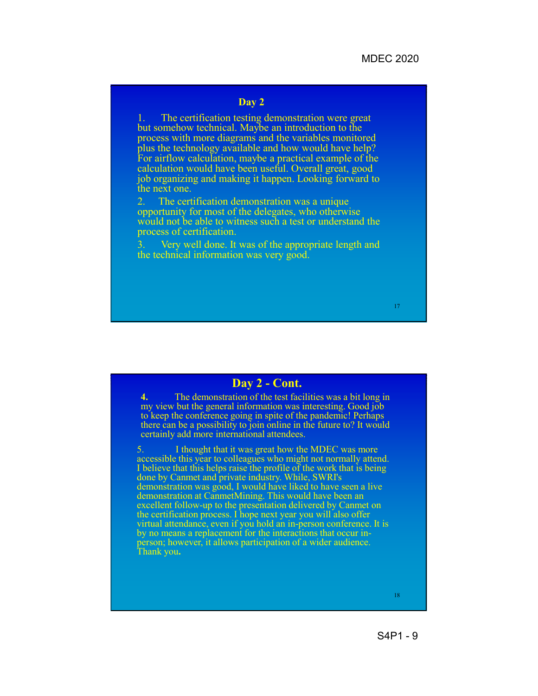#### **Day 2**

1. The certification testing demonstration were great but somehow technical. Maybe an introduction to the process with more diagrams and the variables monitored plus the technology available and how would have help? For airflow calculation, maybe a practical example of the calculation would have been useful. Overall great, good job organizing and making it happen. Looking forward to the next one.

The certification demonstration was a unique opportunity for most of the delegates, who otherwise would not be able to witness such a test or understand the process of certification.

Very well done. It was of the appropriate length and the technical information was very good.

#### 17

#### **Day 2 - Cont.**

**4.** The demonstration of the test facilities was a bit long in my view but the general information was interesting. Good job to keep the conference going in spite of the pandemic! Perhaps there can be a possibility to join online in the future to? It would certainly add more international attendees.

5. I thought that it was great how the MDEC was more accessible this year to colleagues who might not normally attend. I believe that this helps raise the profile of the work that is being done by Canmet and private industry. While, SWRI's demonstration was good, I would have liked to have seen a live demonstration at CanmetMining. This would have been an excellent follow-up to the presentation delivered by Canmet on the certification process. I hope next year you will also offer virtual attendance, even if you hold an in-person conference. It is<br>by no means a replacement for the interactions that occur inby no means a replacement for the interactions that occur in- person; however, it allows participation of a wider audience. Thank you**.**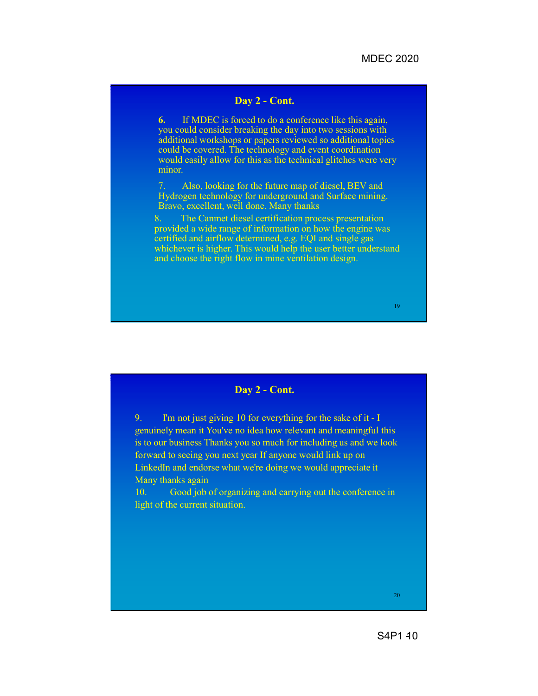#### **Day 2 - Cont.**

**6.** If MDEC is forced to do a conference like this again, you could consider breaking the day into two sessions with additional workshops or papers reviewed so additional topics could be covered. The technology and event coordination would easily allow for this as the technical glitches were very minor.

7. Also, looking for the future map of diesel, BEV and Hydrogen technology for underground and Surface mining. Bravo, excellent, well done. Many thanks

8. The Canmet diesel certification process presentation provided a wide range of information on how the engine was certified and airflow determined, e.g. EQI and single gas whichever is higher. This would help the user better understand and choose the right flow in mine ventilation design.

19

#### **Day 2 - Cont.**

9. I'm not just giving 10 for everything for the sake of it - I genuinely mean it You've no idea how relevant and meaningful this is to our business Thanks you so much for including us and we look forward to seeing you next year If anyone would link up on LinkedIn and endorse what we're doing we would appreciate it Many thanks again

10. Good job of organizing and carrying out the conference in light of the current situation.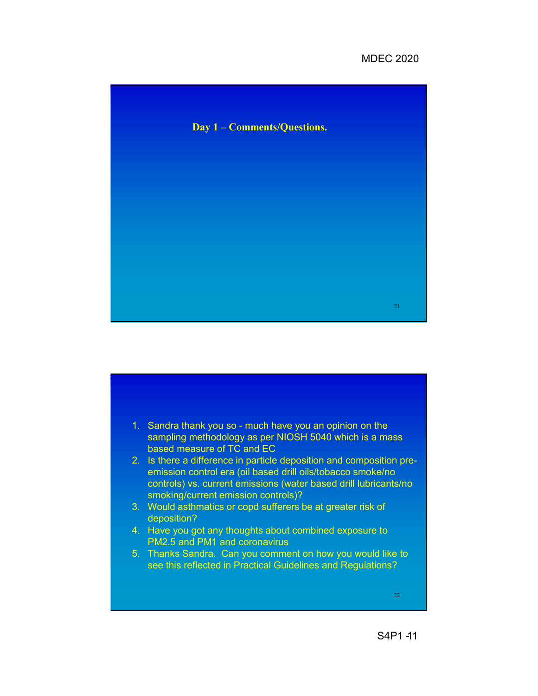#### MDEC 2020





S<sub>4</sub>P<sub>1</sub>-11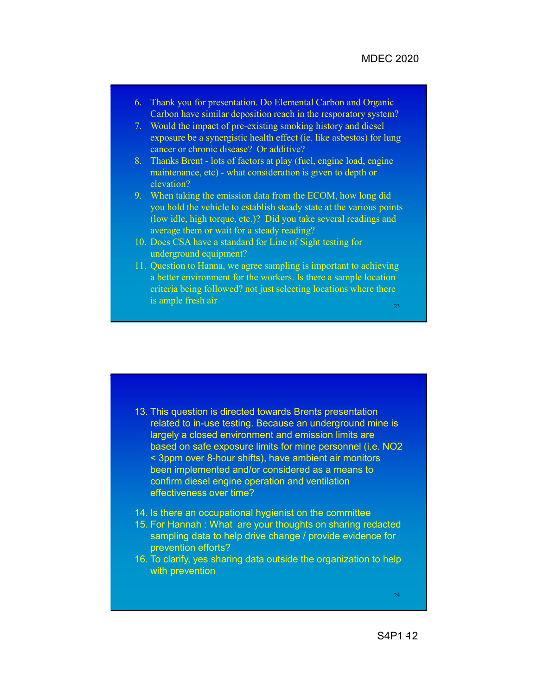- 6. Thank you for presentation. Do Elemental Carbon and Organic Carbon have similar deposition reach in the resporatory system?
- 7. Would the impact of pre-existing smoking history and diesel exposure be a synergistic health effect (ie. like asbestos) for lung cancer or chronic disease? Or additive?
- 8. Thanks Brent lots of factors at play (fuel, engine load, engine maintenance, etc) - what consideration is given to depth or elevation?
- 9. When taking the emission data from the ECOM, how long did you hold the vehicle to establish steady state at the various points (low idle, high torque, etc.)? Did you take several readings and average them or wait for a steady reading?
- 10. Does CSA have a standard for Line of Sight testing for underground equipment?
- 11. Question to Hanna, we agree sampling is important to achieving a better environment for the workers. Is there a sample location criteria being followed? not just selecting locations where there is ample fresh air
	- 23

- 13. This question is directed towards Brents presentation related to in-use testing. Because an underground mine is largely a closed environment and emission limits are based on safe exposure limits for mine personnel (i.e. NO2 < 3ppm over 8-hour shifts), have ambient air monitors been implemented and/or considered as a means to confirm diesel engine operation and ventilation effectiveness over time?
- 14. Is there an occupational hygienist on the committee
- 15. For Hannah : What are your thoughts on sharing redacted sampling data to help drive change / provide evidence for prevention efforts?
- 16. To clarify, yes sharing data outside the organization to help with prevention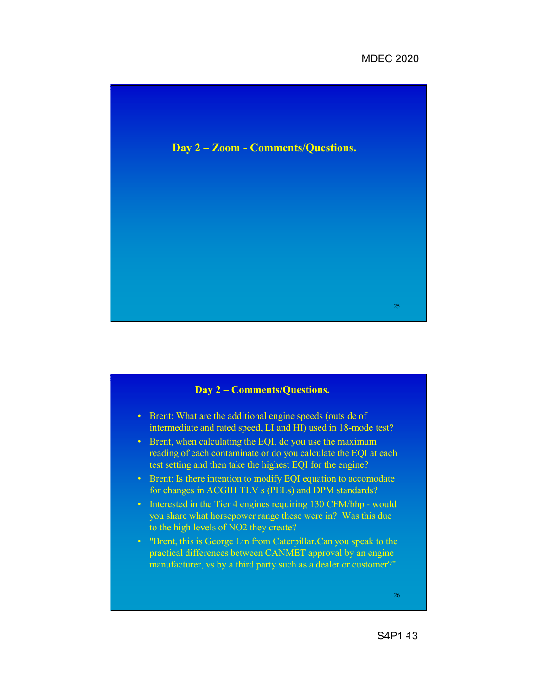#### MDEC 2020



## • Brent: What are the additional engine speeds (outside of intermediate and rated speed, LI and HI) used in 18-mode test? • Brent, when calculating the EQI, do you use the maximum reading of each contaminate or do you calculate the EQI at each test setting and then take the highest EQI for the engine? • Brent: Is there intention to modify EQI equation to accomodate for changes in ACGIH TLV s (PELs) and DPM standards? • Interested in the Tier 4 engines requiring 130 CFM/bhp - would you share what horsepower range these were in? Was this due to the high levels of NO2 they create? • "Brent, this is George Lin from Caterpillar.Can you speak to the practical differences between CANMET approval by an engine manufacturer, vs by a third party such as a dealer or customer?" 26 **Day 2 – Comments/Questions.**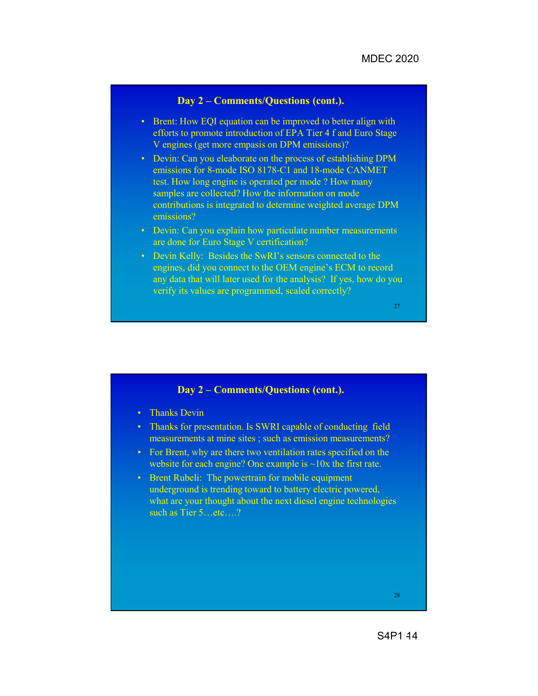#### **Day 2 – Comments/Questions (cont.).**

- Brent: How EQI equation can be improved to better align with efforts to promote introduction of EPA Tier 4 f and Euro Stage V engines (get more empasis on DPM emissions)?
- Devin: Can you eleaborate on the process of establishing DPM emissions for 8-mode ISO 8178-C1 and 18-mode CANMET test. How long engine is operated per mode ? How many samples are collected? How the information on mode contributions is integrated to determine weighted average DPM emissions?
- Devin: Can you explain how particulate number measurements are done for Euro Stage V certification?
- Devin Kelly: Besides the SwRI's sensors connected to the engines, did you connect to the OEM engine's ECM to record any data that will later used for the analysis? If yes, how do you verify its values are programmed, scaled correctly?

#### 27

#### **Day 2 – Comments/Questions (cont.).**

- Thanks Devin
- Thanks for presentation. Is SWRI capable of conducting field measurements at mine sites ; such as emission measurements?
- For Brent, why are there two ventilation rates specified on the website for each engine? One example is  $\sim$ 10x the first rate.
- Brent Rubeli: The powertrain for mobile equipment underground is trending toward to battery electric powered, what are your thought about the next diesel engine technologies such as Tier 5…etc….?